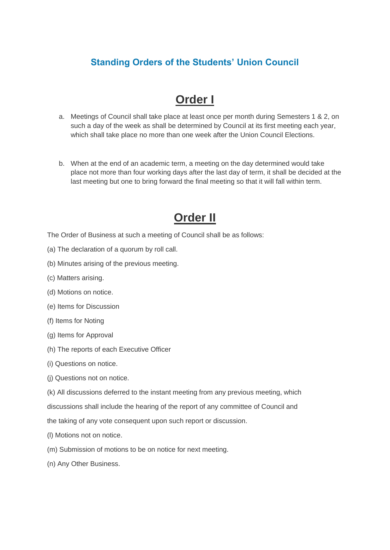#### **Standing Orders of the Students' Union Council**

### **Order I**

- a. Meetings of Council shall take place at least once per month during Semesters 1 & 2, on such a day of the week as shall be determined by Council at its first meeting each year, which shall take place no more than one week after the Union Council Elections.
- b. When at the end of an academic term, a meeting on the day determined would take place not more than four working days after the last day of term, it shall be decided at the last meeting but one to bring forward the final meeting so that it will fall within term.

### **Order II**

- The Order of Business at such a meeting of Council shall be as follows:
- (a) The declaration of a quorum by roll call.
- (b) Minutes arising of the previous meeting.
- (c) Matters arising.
- (d) Motions on notice.
- (e) Items for Discussion
- (f) Items for Noting
- (g) Items for Approval
- (h) The reports of each Executive Officer
- (i) Questions on notice.
- (j) Questions not on notice.
- (k) All discussions deferred to the instant meeting from any previous meeting, which discussions shall include the hearing of the report of any committee of Council and
- the taking of any vote consequent upon such report or discussion.
- (l) Motions not on notice.
- (m) Submission of motions to be on notice for next meeting.
- (n) Any Other Business.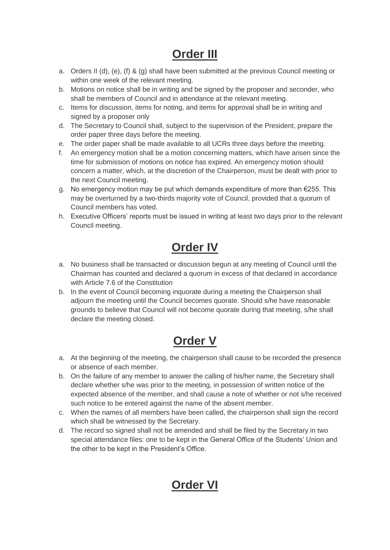## **Order III**

- a. Orders II (d), (e), (f) & (g) shall have been submitted at the previous Council meeting or within one week of the relevant meeting.
- b. Motions on notice shall be in writing and be signed by the proposer and seconder, who shall be members of Council and in attendance at the relevant meeting.
- c. Items for discussion, items for noting, and items for approval shall be in writing and signed by a proposer only
- d. The Secretary to Council shall, subject to the supervision of the President, prepare the order paper three days before the meeting.
- e. The order paper shall be made available to all UCRs three days before the meeting.
- f. An emergency motion shall be a motion concerning matters, which have arisen since the time for submission of motions on notice has expired. An emergency motion should concern a matter, which, at the discretion of the Chairperson, must be dealt with prior to the next Council meeting.
- g. No emergency motion may be put which demands expenditure of more than €255. This may be overturned by a two-thirds majority vote of Council, provided that a quorum of Council members has voted.
- h. Executive Officers' reports must be issued in writing at least two days prior to the relevant Council meeting.

## **Order IV**

- a. No business shall be transacted or discussion begun at any meeting of Council until the Chairman has counted and declared a quorum in excess of that declared in accordance with Article 7.6 of the Constitution
- b. In the event of Council becoming inquorate during a meeting the Chairperson shall adjourn the meeting until the Council becomes quorate. Should s/he have reasonable grounds to believe that Council will not become quorate during that meeting, s/he shall declare the meeting closed.

## **Order V**

- a. At the beginning of the meeting, the chairperson shall cause to be recorded the presence or absence of each member.
- b. On the failure of any member to answer the calling of his/her name, the Secretary shall declare whether s/he was prior to the meeting, in possession of written notice of the expected absence of the member, and shall cause a note of whether or not s/he received such notice to be entered against the name of the absent member.
- c. When the names of all members have been called, the chairperson shall sign the record which shall be witnessed by the Secretary.
- d. The record so signed shall not be amended and shall be filed by the Secretary in two special attendance files: one to be kept in the General Office of the Students' Union and the other to be kept in the President's Office.

## **Order VI**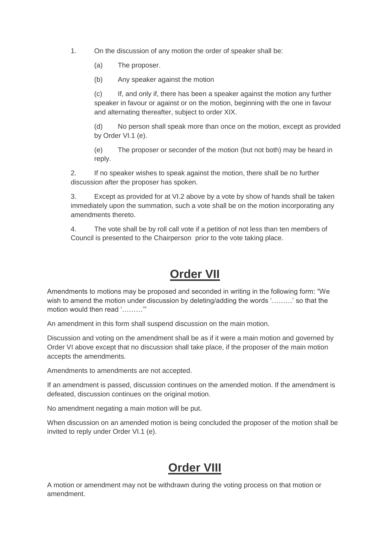1. On the discussion of any motion the order of speaker shall be:

(a) The proposer.

(b) Any speaker against the motion

(c) If, and only if, there has been a speaker against the motion any further speaker in favour or against or on the motion, beginning with the one in favour and alternating thereafter, subject to order XIX.

(d) No person shall speak more than once on the motion, except as provided by Order VI.1 (e).

(e) The proposer or seconder of the motion (but not both) may be heard in reply.

2. If no speaker wishes to speak against the motion, there shall be no further discussion after the proposer has spoken.

3. Except as provided for at VI.2 above by a vote by show of hands shall be taken immediately upon the summation, such a vote shall be on the motion incorporating any amendments thereto.

4. The vote shall be by roll call vote if a petition of not less than ten members of Council is presented to the Chairperson prior to the vote taking place.

### **Order VII**

Amendments to motions may be proposed and seconded in writing in the following form: "We wish to amend the motion under discussion by deleting/adding the words '………' so that the motion would then read '………'"

An amendment in this form shall suspend discussion on the main motion.

Discussion and voting on the amendment shall be as if it were a main motion and governed by Order VI above except that no discussion shall take place, if the proposer of the main motion accepts the amendments.

Amendments to amendments are not accepted.

If an amendment is passed, discussion continues on the amended motion. If the amendment is defeated, discussion continues on the original motion.

No amendment negating a main motion will be put.

When discussion on an amended motion is being concluded the proposer of the motion shall be invited to reply under Order VI.1 (e).

# **Order VIII**

A motion or amendment may not be withdrawn during the voting process on that motion or amendment.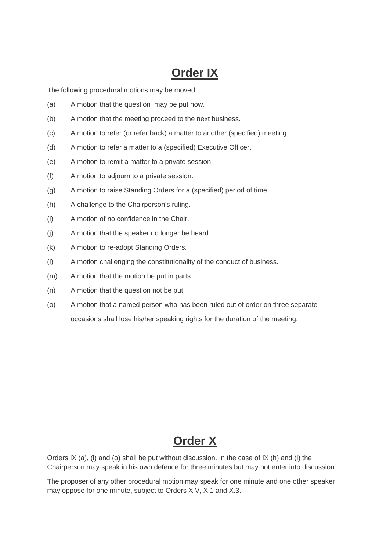## **Order IX**

The following procedural motions may be moved:

- (a) A motion that the question may be put now.
- (b) A motion that the meeting proceed to the next business.
- (c) A motion to refer (or refer back) a matter to another (specified) meeting.
- (d) A motion to refer a matter to a (specified) Executive Officer.
- (e) A motion to remit a matter to a private session.
- (f) A motion to adjourn to a private session.
- (g) A motion to raise Standing Orders for a (specified) period of time.
- (h) A challenge to the Chairperson's ruling.
- (i) A motion of no confidence in the Chair.
- (j) A motion that the speaker no longer be heard.
- (k) A motion to re-adopt Standing Orders.
- (l) A motion challenging the constitutionality of the conduct of business.
- (m) A motion that the motion be put in parts.
- (n) A motion that the question not be put.
- (o) A motion that a named person who has been ruled out of order on three separate occasions shall lose his/her speaking rights for the duration of the meeting.

#### **Order X**

Orders IX (a), (I) and (o) shall be put without discussion. In the case of IX (h) and (i) the Chairperson may speak in his own defence for three minutes but may not enter into discussion.

The proposer of any other procedural motion may speak for one minute and one other speaker may oppose for one minute, subject to Orders XIV, X.1 and X.3.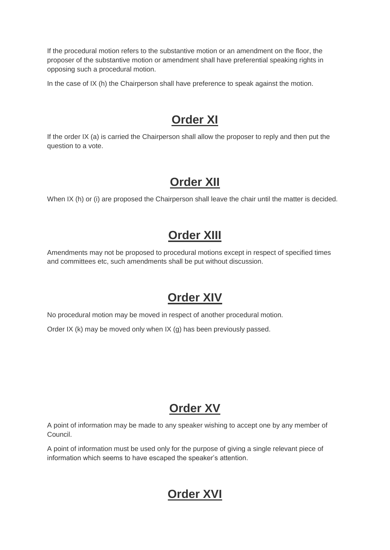If the procedural motion refers to the substantive motion or an amendment on the floor, the proposer of the substantive motion or amendment shall have preferential speaking rights in opposing such a procedural motion.

In the case of IX (h) the Chairperson shall have preference to speak against the motion.

### **Order XI**

If the order IX (a) is carried the Chairperson shall allow the proposer to reply and then put the question to a vote.

## **Order XII**

When IX (h) or (i) are proposed the Chairperson shall leave the chair until the matter is decided.

### **Order XIII**

Amendments may not be proposed to procedural motions except in respect of specified times and committees etc, such amendments shall be put without discussion.

### **Order XIV**

No procedural motion may be moved in respect of another procedural motion.

Order IX (k) may be moved only when IX (g) has been previously passed.

## **Order XV**

A point of information may be made to any speaker wishing to accept one by any member of Council.

A point of information must be used only for the purpose of giving a single relevant piece of information which seems to have escaped the speaker's attention.

### **Order XVI**